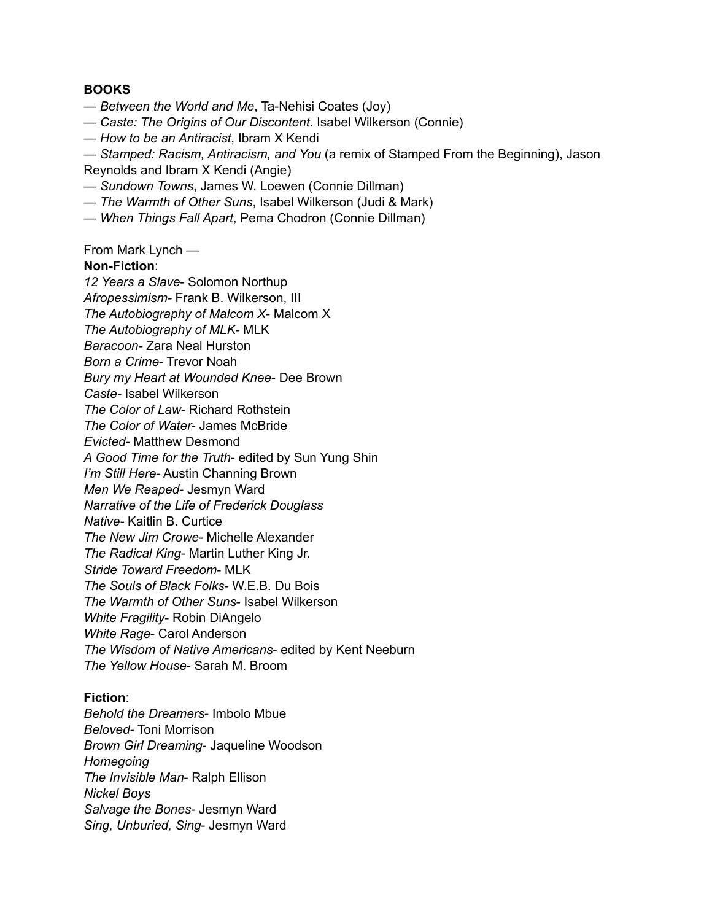#### **BOOKS**

- *Between the World and Me*, Ta-Nehisi Coates (Joy)
- *Caste: The Origins of Our Discontent*. Isabel Wilkerson (Connie)
- *How to be an Antiracist*, Ibram X Kendi
- *Stamped: Racism, Antiracism, and You* (a remix of Stamped From the Beginning), Jason Reynolds and Ibram X Kendi (Angie)
- *Sundown Towns*, James W. Loewen (Connie Dillman)
- *The Warmth of Other Suns*, Isabel Wilkerson (Judi & Mark)
- *When Things Fall Apart*, Pema Chodron (Connie Dillman)

From Mark Lynch —

#### **Non-Fiction**:

*12 Years a Slave*- Solomon Northup *Afropessimism-* Frank B. Wilkerson, III *The Autobiography of Malcom X*- Malcom X *The Autobiography of MLK*- MLK *Baracoon-* Zara Neal Hurston *Born a Crime*- Trevor Noah *Bury my Heart at Wounded Knee*- Dee Brown *Caste-* Isabel Wilkerson *The Color of Law*- Richard Rothstein *The Color of Water*- James McBride *Evicted-* Matthew Desmond *A Good Time for the Truth*- edited by Sun Yung Shin *I'm Still Here*- Austin Channing Brown *Men We Reaped*- Jesmyn Ward *Narrative of the Life of Frederick Douglass Native-* Kaitlin B. Curtice *The New Jim Crowe*- Michelle Alexander *The Radical King*- Martin Luther King Jr. *Stride Toward Freedom*- MLK *The Souls of Black Folks*- W.E.B. Du Bois *The Warmth of Other Suns*- Isabel Wilkerson *White Fragility*- Robin DiAngelo *White Rage*- Carol Anderson *The Wisdom of Native Americans*- edited by Kent Neeburn *The Yellow House*- Sarah M. Broom

## **Fiction**:

*Behold the Dreamers*- Imbolo Mbue *Beloved-* Toni Morrison *Brown Girl Dreaming*- Jaqueline Woodson *Homegoing The Invisible Man*- Ralph Ellison *Nickel Boys Salvage the Bones*- Jesmyn Ward *Sing, Unburied, Sing*- Jesmyn Ward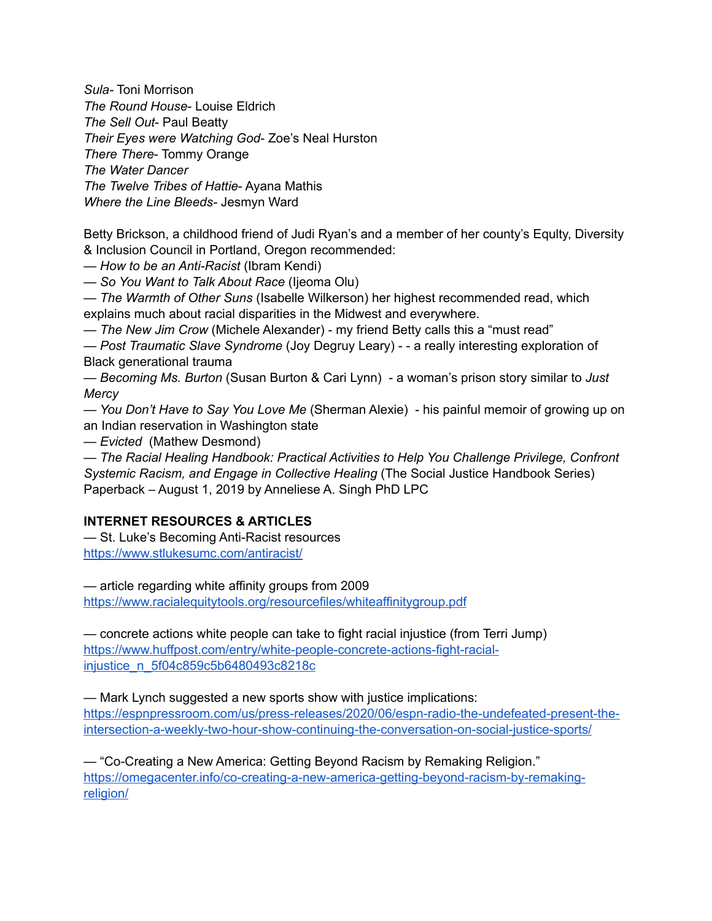*Sula-* Toni Morrison *The Round House*- Louise Eldrich *The Sell Out*- Paul Beatty *Their Eyes were Watching God*- Zoe's Neal Hurston *There There*- Tommy Orange *The Water Dancer The Twelve Tribes of Hattie*- Ayana Mathis *Where the Line Bleeds-* Jesmyn Ward

Betty Brickson, a childhood friend of Judi Ryan's and a member of her county's Equlty, Diversity & Inclusion Council in Portland, Oregon recommended:

*— How to be an Anti-Racist* (Ibram Kendi)

*— So You Want to Talk About Race* (Ijeoma Olu)

*— The Warmth of Other Suns* (Isabelle Wilkerson) her highest recommended read, which explains much about racial disparities in the Midwest and everywhere.

*— The New Jim Crow* (Michele Alexander) - my friend Betty calls this a "must read"

*— Post Traumatic Slave Syndrome* (Joy Degruy Leary) - - a really interesting exploration of Black generational trauma

*— Becoming Ms. Burton* (Susan Burton & Cari Lynn) - a woman's prison story similar to *Just Mercy*

*— You Don't Have to Say You Love Me* (Sherman Alexie) - his painful memoir of growing up on an Indian reservation in Washington state

*— Evicted* (Mathew Desmond)

— *The Racial Healing Handbook: Practical Activities to Help You Challenge Privilege, Confront Systemic Racism, and Engage in Collective Healing* (The Social Justice Handbook Series) Paperback – August 1, 2019 by Anneliese A. Singh PhD LPC

# **INTERNET RESOURCES & ARTICLES**

— St. Luke's Becoming Anti-Racist resources <https://www.stlukesumc.com/antiracist/>

— article regarding white affinity groups from 2009

<https://www.racialequitytools.org/resourcefiles/whiteaffinitygroup.pdf>

— concrete actions white people can take to fight racial injustice (from Terri Jump) [https://www.huffpost.com/entry/white-people-concrete-actions-fight-racial](https://www.huffpost.com/entry/white-people-concrete-actions-fight-racial-injustice_n_5f04c859c5b6480493c8218c)[injustice\\_n\\_5f04c859c5b6480493c8218c](https://www.huffpost.com/entry/white-people-concrete-actions-fight-racial-injustice_n_5f04c859c5b6480493c8218c)

— Mark Lynch suggested a new sports show with justice implications: [https://espnpressroom.com/us/press-releases/2020/06/espn-radio-the-undefeated-present-the](https://espnpressroom.com/us/press-releases/2020/06/espn-radio-the-undefeated-present-the-intersection-a-weekly-two-hour-show-continuing-the-conversation-on-social-justice-sports/)[intersection-a-weekly-two-hour-show-continuing-the-conversation-on-social-justice-sports/](https://espnpressroom.com/us/press-releases/2020/06/espn-radio-the-undefeated-present-the-intersection-a-weekly-two-hour-show-continuing-the-conversation-on-social-justice-sports/)

— "Co-Creating a New America: Getting Beyond Racism by Remaking Religion." [https://omegacenter.info/co-creating-a-new-america-getting-beyond-racism-by-remaking](https://omegacenter.info/co-creating-a-new-america-getting-beyond-racism-by-remaking-religion/)[religion/](https://omegacenter.info/co-creating-a-new-america-getting-beyond-racism-by-remaking-religion/)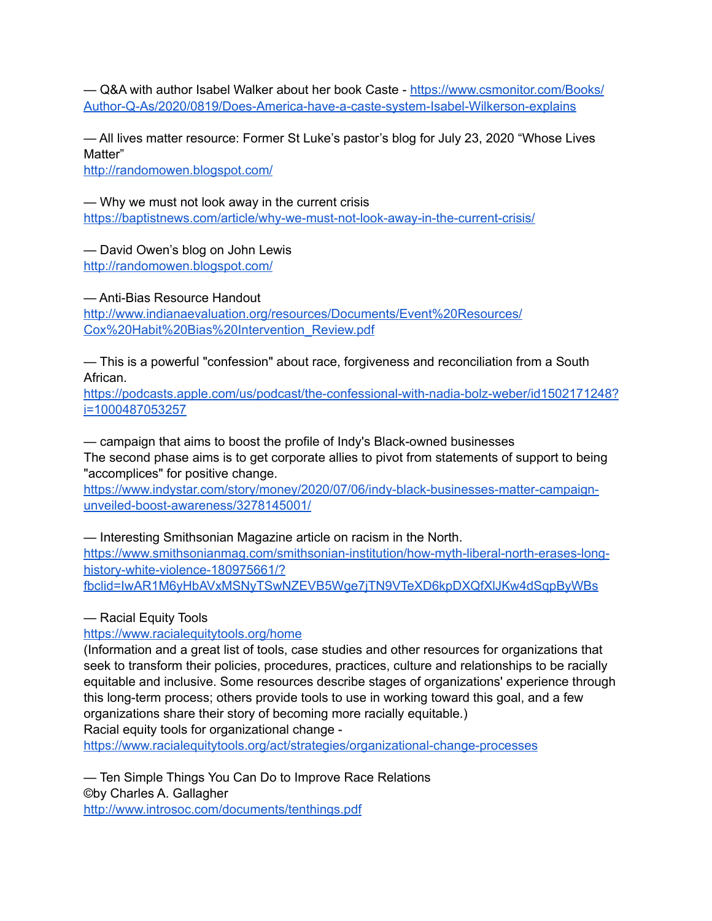- Q&A with author Isabel Walker about her book Caste - https://www.csmonitor.com/Books/ [Author-Q-As/2020/0819/Does-America-have-a-caste-system-Isabel-Wilkerson-explains](https://www.csmonitor.com/Books/Author-Q-As/2020/0819/Does-America-have-a-caste-system-Isabel-Wilkerson-explains)

— All lives matter resource: Former St Luke's pastor's blog for July 23, 2020 "Whose Lives Matter"

<http://randomowen.blogspot.com/>

— Why we must not look away in the current crisis <https://baptistnews.com/article/why-we-must-not-look-away-in-the-current-crisis/>

— David Owen's blog on John Lewis <http://randomowen.blogspot.com/>

— Anti-Bias Resource Handout

[http://www.indianaevaluation.org/resources/Documents/Event%20Resources/](http://www.indianaevaluation.org/resources/Documents/Event%2520Resources/Cox%2520Habit%2520Bias%2520Intervention_Review.pdf) [Cox%20Habit%20Bias%20Intervention\\_Review.pdf](http://www.indianaevaluation.org/resources/Documents/Event%2520Resources/Cox%2520Habit%2520Bias%2520Intervention_Review.pdf)

— This is a powerful "confession" about race, forgiveness and reconciliation from a South African.

[https://podcasts.apple.com/us/podcast/the-confessional-with-nadia-bolz-weber/id1502171248?](https://podcasts.apple.com/us/podcast/the-confessional-with-nadia-bolz-weber/id1502171248?i=1000487053257) [i=1000487053257](https://podcasts.apple.com/us/podcast/the-confessional-with-nadia-bolz-weber/id1502171248?i=1000487053257)

— campaign that aims to boost the profile of Indy's Black-owned businesses The second phase aims is to get corporate allies to pivot from statements of support to being "accomplices" for positive change.

[https://www.indystar.com/story/money/2020/07/06/indy-black-businesses-matter-campaign](https://www.indystar.com/story/money/2020/07/06/indy-black-businesses-matter-campaign-unveiled-boost-awareness/3278145001/)[unveiled-boost-awareness/3278145001/](https://www.indystar.com/story/money/2020/07/06/indy-black-businesses-matter-campaign-unveiled-boost-awareness/3278145001/)

— Interesting Smithsonian Magazine article on racism in the North. [https://www.smithsonianmag.com/smithsonian-institution/how-myth-liberal-north-erases-long](https://www.smithsonianmag.com/smithsonian-institution/how-myth-liberal-north-erases-long-history-white-violence-180975661/?fbclid=IwAR1M6yHbAVxMSNyTSwNZEVB5Wge7jTN9VTeXD6kpDXQfXlJKw4dSqpByWBs)[history-white-violence-180975661/?](https://www.smithsonianmag.com/smithsonian-institution/how-myth-liberal-north-erases-long-history-white-violence-180975661/?fbclid=IwAR1M6yHbAVxMSNyTSwNZEVB5Wge7jTN9VTeXD6kpDXQfXlJKw4dSqpByWBs) [fbclid=IwAR1M6yHbAVxMSNyTSwNZEVB5Wge7jTN9VTeXD6kpDXQfXlJKw4dSqpByWBs](https://www.smithsonianmag.com/smithsonian-institution/how-myth-liberal-north-erases-long-history-white-violence-180975661/?fbclid=IwAR1M6yHbAVxMSNyTSwNZEVB5Wge7jTN9VTeXD6kpDXQfXlJKw4dSqpByWBs)

— Racial Equity Tools

<https://www.racialequitytools.org/home>

(Information and a great list of tools, case studies and other resources for organizations that seek to transform their policies, procedures, practices, culture and relationships to be racially equitable and inclusive. Some resources describe stages of organizations' experience through this long-term process; others provide tools to use in working toward this goal, and a few organizations share their story of becoming more racially equitable.)

Racial equity tools for organizational change -

<https://www.racialequitytools.org/act/strategies/organizational-change-processes>

— Ten Simple Things You Can Do to Improve Race Relations ©by Charles A. Gallagher <http://www.introsoc.com/documents/tenthings.pdf>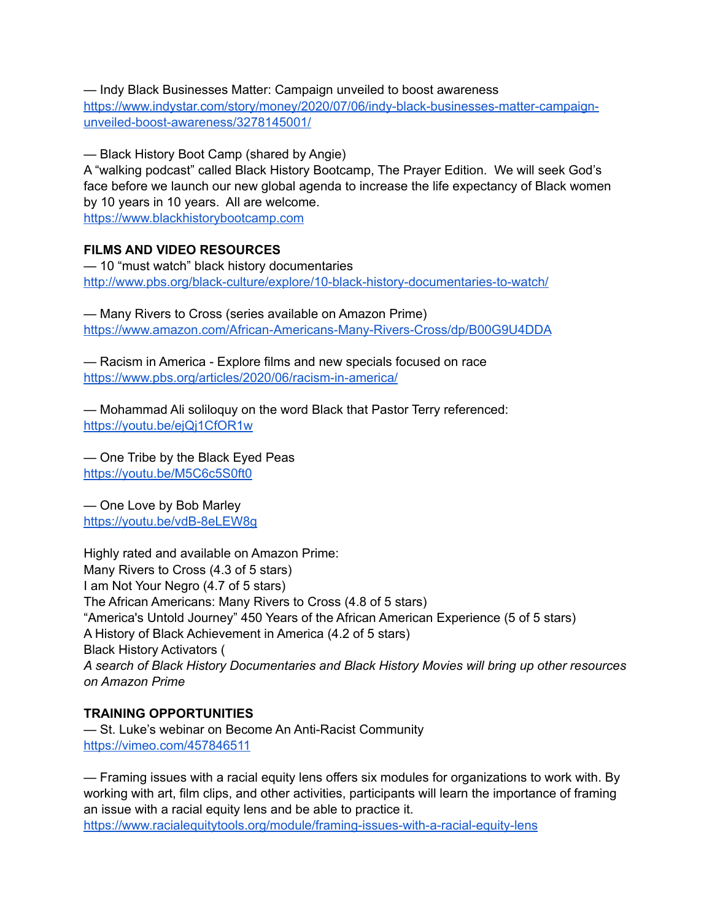— Indy Black Businesses Matter: Campaign unveiled to boost awareness [https://www.indystar.com/story/money/2020/07/06/indy-black-businesses-matter-campaign](https://www.indystar.com/story/money/2020/07/06/indy-black-businesses-matter-campaign-unveiled-boost-awareness/3278145001/)[unveiled-boost-awareness/3278145001/](https://www.indystar.com/story/money/2020/07/06/indy-black-businesses-matter-campaign-unveiled-boost-awareness/3278145001/)

— Black History Boot Camp (shared by Angie)

A "walking podcast" called Black History Bootcamp, The Prayer Edition. We will seek God's face before we launch our new global agenda to increase the life expectancy of Black women by 10 years in 10 years. All are welcome.

<https://www.blackhistorybootcamp.com>

# **FILMS AND VIDEO RESOURCES**

— 10 "must watch" black history documentaries <http://www.pbs.org/black-culture/explore/10-black-history-documentaries-to-watch/>

— Many Rivers to Cross (series available on Amazon Prime) <https://www.amazon.com/African-Americans-Many-Rivers-Cross/dp/B00G9U4DDA>

— Racism in America - Explore films and new specials focused on race <https://www.pbs.org/articles/2020/06/racism-in-america/>

— Mohammad Ali soliloquy on the word Black that Pastor Terry referenced: <https://youtu.be/ejQj1CfOR1w>

— One Tribe by the Black Eyed Peas <https://youtu.be/M5C6c5S0ft0>

— One Love by Bob Marley <https://youtu.be/vdB-8eLEW8g>

Highly rated and available on Amazon Prime: Many Rivers to Cross (4.3 of 5 stars) I am Not Your Negro (4.7 of 5 stars) The African Americans: Many Rivers to Cross (4.8 of 5 stars) "America's Untold Journey" 450 Years of the African American Experience (5 of 5 stars) A History of Black Achievement in America (4.2 of 5 stars) Black History Activators ( *A search of Black History Documentaries and Black History Movies will bring up other resources on Amazon Prime*

## **TRAINING OPPORTUNITIES**

— St. Luke's webinar on Become An Anti-Racist Community <https://vimeo.com/457846511>

— Framing issues with a racial equity lens offers six modules for organizations to work with. By working with art, film clips, and other activities, participants will learn the importance of framing an issue with a racial equity lens and be able to practice it. <https://www.racialequitytools.org/module/framing-issues-with-a-racial-equity-lens>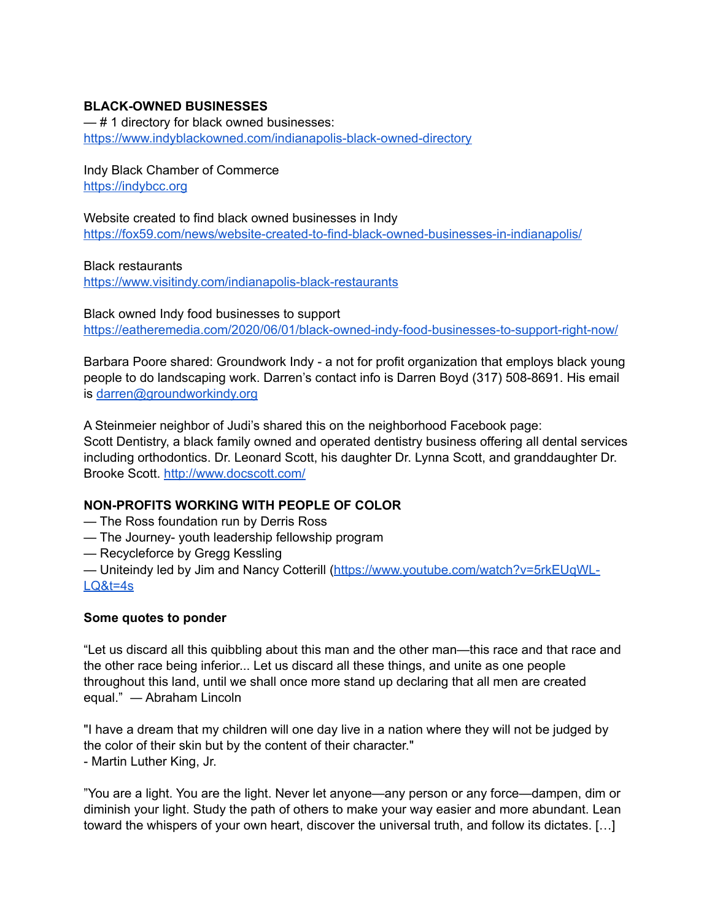# **BLACK-OWNED BUSINESSES**

— # 1 directory for black owned businesses: <https://www.indyblackowned.com/indianapolis-black-owned-directory>

Indy Black Chamber of Commerce <https://indybcc.org>

Website created to find black owned businesses in Indy <https://fox59.com/news/website-created-to-find-black-owned-businesses-in-indianapolis/>

Black restaurants <https://www.visitindy.com/indianapolis-black-restaurants>

Black owned Indy food businesses to support <https://eatheremedia.com/2020/06/01/black-owned-indy-food-businesses-to-support-right-now/>

Barbara Poore shared: Groundwork Indy - a not for profit organization that employs black young people to do landscaping work. Darren's contact info is Darren Boyd (317) 508-8691. His email is [darren@groundworkindy.org](mailto:darren@groundworkindy.org)

A Steinmeier neighbor of Judi's shared this on the neighborhood Facebook page: Scott Dentistry, a black family owned and operated dentistry business offering all dental services including orthodontics. Dr. Leonard Scott, his daughter Dr. Lynna Scott, and granddaughter Dr. Brooke Scott.<http://www.docscott.com/>

# **NON-PROFITS WORKING WITH PEOPLE OF COLOR**

- The Ross foundation run by Derris Ross
- The Journey- youth leadership fellowship program
- Recycleforce by Gregg Kessling
- Uniteindy led by Jim and Nancy Cotterill [\(https://www.youtube.com/watch?v=5rkEUqWL-](https://www.youtube.com/watch?v=5rkEUqWL-LQ&t=4s)[LQ&t=4s](https://www.youtube.com/watch?v=5rkEUqWL-LQ&t=4s)

## **Some quotes to ponder**

"Let us discard all this quibbling about this man and the other man—this race and that race and the other race being inferior... Let us discard all these things, and unite as one people throughout this land, until we shall once more stand up declaring that all men are created equal." ― Abraham Lincoln

"I have a dream that my children will one day live in a nation where they will not be judged by the color of their skin but by the content of their character." - Martin Luther King, Jr.

"You are a light. You are the light. Never let anyone—any person or any force—dampen, dim or diminish your light. Study the path of others to make your way easier and more abundant. Lean toward the whispers of your own heart, discover the universal truth, and follow its dictates. […]